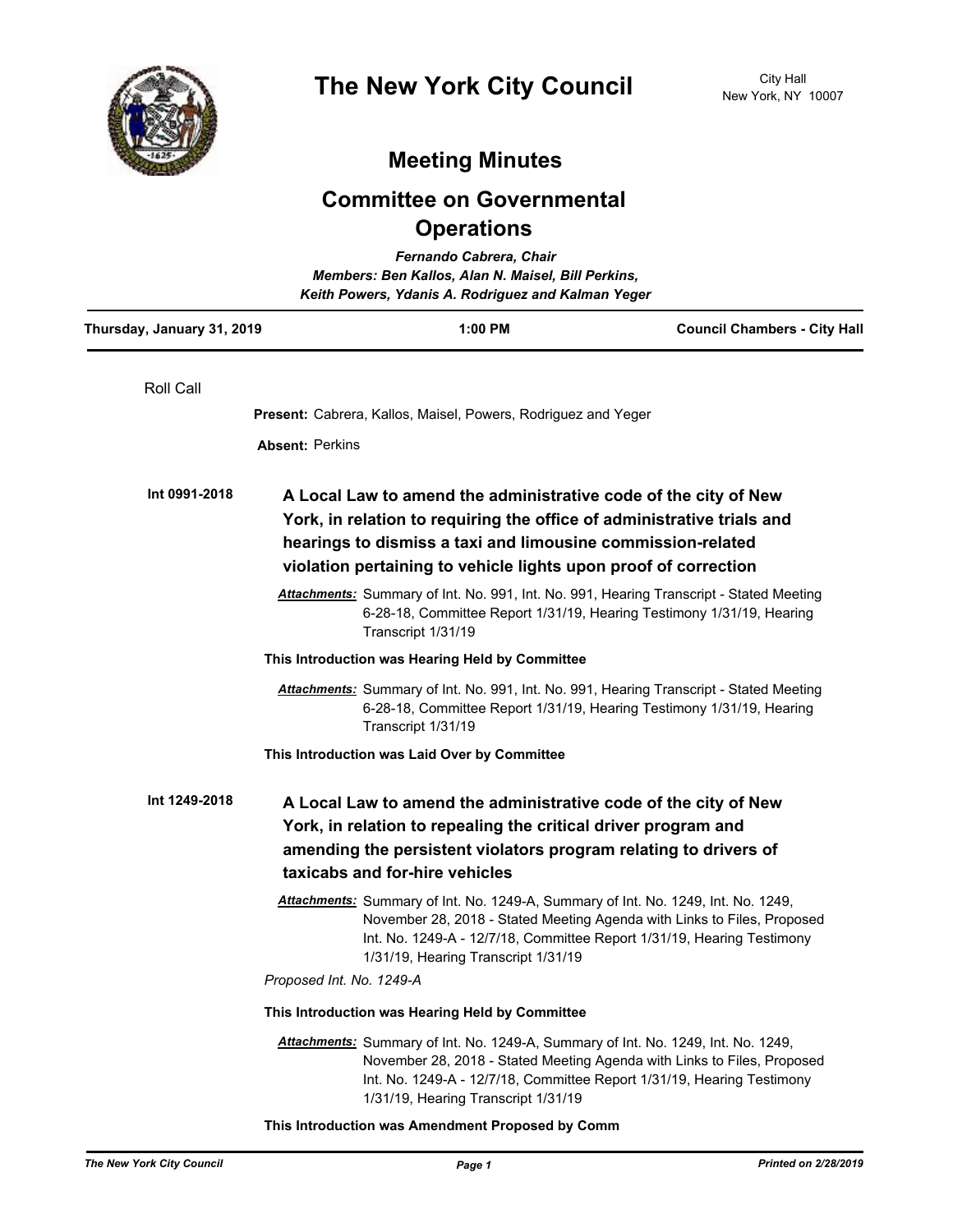

## **Meeting Minutes**

## **Committee on Governmental Operations**

|                            |                                                                                                                                                                                                                                                                             | Fernando Cabrera, Chair<br>Members: Ben Kallos, Alan N. Maisel, Bill Perkins,<br>Keith Powers, Ydanis A. Rodriguez and Kalman Yeger                                                                                                                                           |                                     |
|----------------------------|-----------------------------------------------------------------------------------------------------------------------------------------------------------------------------------------------------------------------------------------------------------------------------|-------------------------------------------------------------------------------------------------------------------------------------------------------------------------------------------------------------------------------------------------------------------------------|-------------------------------------|
| Thursday, January 31, 2019 |                                                                                                                                                                                                                                                                             | 1:00 PM                                                                                                                                                                                                                                                                       | <b>Council Chambers - City Hall</b> |
| <b>Roll Call</b>           |                                                                                                                                                                                                                                                                             |                                                                                                                                                                                                                                                                               |                                     |
|                            |                                                                                                                                                                                                                                                                             | <b>Present:</b> Cabrera, Kallos, Maisel, Powers, Rodriguez and Yeger                                                                                                                                                                                                          |                                     |
|                            | <b>Absent: Perkins</b>                                                                                                                                                                                                                                                      |                                                                                                                                                                                                                                                                               |                                     |
| Int 0991-2018              | A Local Law to amend the administrative code of the city of New<br>York, in relation to requiring the office of administrative trials and<br>hearings to dismiss a taxi and limousine commission-related<br>violation pertaining to vehicle lights upon proof of correction |                                                                                                                                                                                                                                                                               |                                     |
|                            |                                                                                                                                                                                                                                                                             | Attachments: Summary of Int. No. 991, Int. No. 991, Hearing Transcript - Stated Meeting<br>6-28-18, Committee Report 1/31/19, Hearing Testimony 1/31/19, Hearing<br>Transcript 1/31/19                                                                                        |                                     |
|                            | This Introduction was Hearing Held by Committee                                                                                                                                                                                                                             |                                                                                                                                                                                                                                                                               |                                     |
|                            |                                                                                                                                                                                                                                                                             | Attachments: Summary of Int. No. 991, Int. No. 991, Hearing Transcript - Stated Meeting<br>6-28-18, Committee Report 1/31/19, Hearing Testimony 1/31/19, Hearing<br>Transcript 1/31/19                                                                                        |                                     |
|                            |                                                                                                                                                                                                                                                                             | This Introduction was Laid Over by Committee                                                                                                                                                                                                                                  |                                     |
| Int 1249-2018              |                                                                                                                                                                                                                                                                             | A Local Law to amend the administrative code of the city of New<br>York, in relation to repealing the critical driver program and<br>amending the persistent violators program relating to drivers of<br>taxicabs and for-hire vehicles                                       |                                     |
|                            |                                                                                                                                                                                                                                                                             | Attachments: Summary of Int. No. 1249-A, Summary of Int. No. 1249, Int. No. 1249,<br>November 28, 2018 - Stated Meeting Agenda with Links to Files, Proposed<br>Int. No. 1249-A - 12/7/18, Committee Report 1/31/19, Hearing Testimony<br>1/31/19, Hearing Transcript 1/31/19 |                                     |
|                            | Proposed Int. No. 1249-A                                                                                                                                                                                                                                                    |                                                                                                                                                                                                                                                                               |                                     |
|                            | This Introduction was Hearing Held by Committee                                                                                                                                                                                                                             |                                                                                                                                                                                                                                                                               |                                     |
|                            |                                                                                                                                                                                                                                                                             | Attachments: Summary of Int. No. 1249-A, Summary of Int. No. 1249, Int. No. 1249,<br>November 28, 2018 - Stated Meeting Agenda with Links to Files, Proposed<br>Int. No. 1249-A - 12/7/18, Committee Report 1/31/19, Hearing Testimony<br>1/31/19, Hearing Transcript 1/31/19 |                                     |

**This Introduction was Amendment Proposed by Comm**